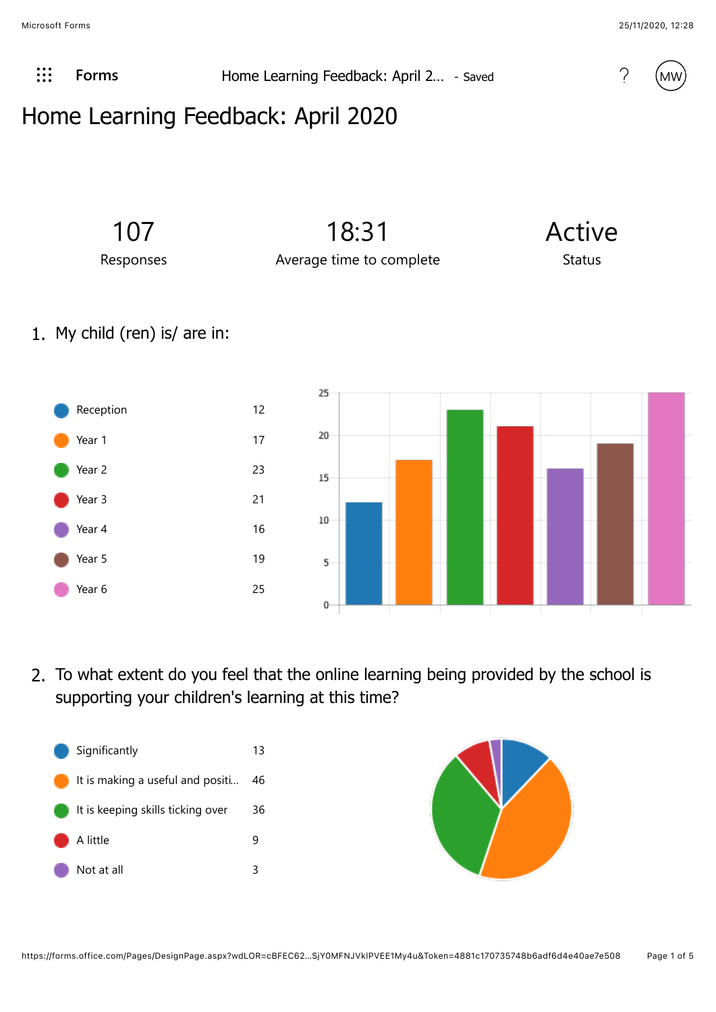

**Example 2.1 [Forms](javascript:%20FormsOnHeaderAppNameClick())** Home Learning Feedback: April 2... - Saved 2... (2.1 April 2... April 2... - Saved 2.1 April 2... 2.1 April 2... 2.1 April 2... 2.1 April 2... 2.1 April 2... 2.1 April 2... 2.1 April 2... 2.1 April 2...



## Home Learning Feedback: April 2020



1. My child (ren) is/ are in:



2. To what extent do you feel that the online learning being provided by the school is supporting your children's learning at this time?



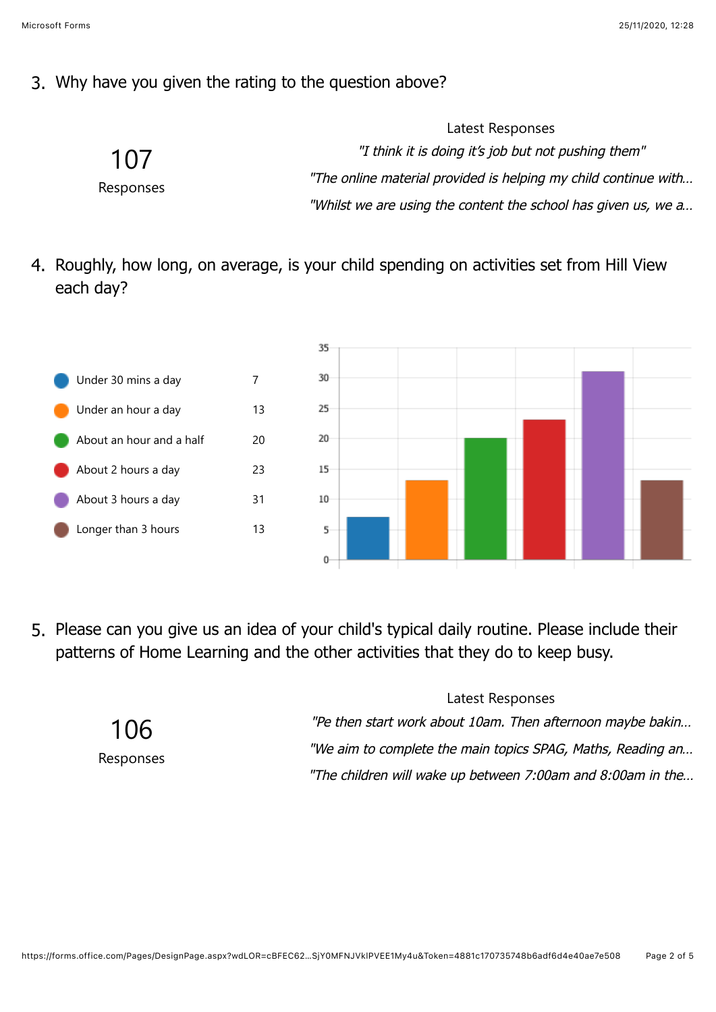## 3. Why have you given the rating to the question above?

|                  | Latest Responses                                                |
|------------------|-----------------------------------------------------------------|
| 107<br>Responses | "I think it is doing it's job but not pushing them"             |
|                  | "The online material provided is helping my child continue with |
|                  | "Whilst we are using the content the school has given us, we a  |

4. Roughly, how long, on average, is your child spending on activities set from Hill View each day?



5. Please can you give us an idea of your child's typical daily routine. Please include their patterns of Home Learning and the other activities that they do to keep busy.

> 106 Responses

Latest Responses "Pe then start work about 10am. Then afternoon maybe bakin… "We aim to complete the main topics SPAG, Maths, Reading an…

"The children will wake up between 7:00am and 8:00am in the…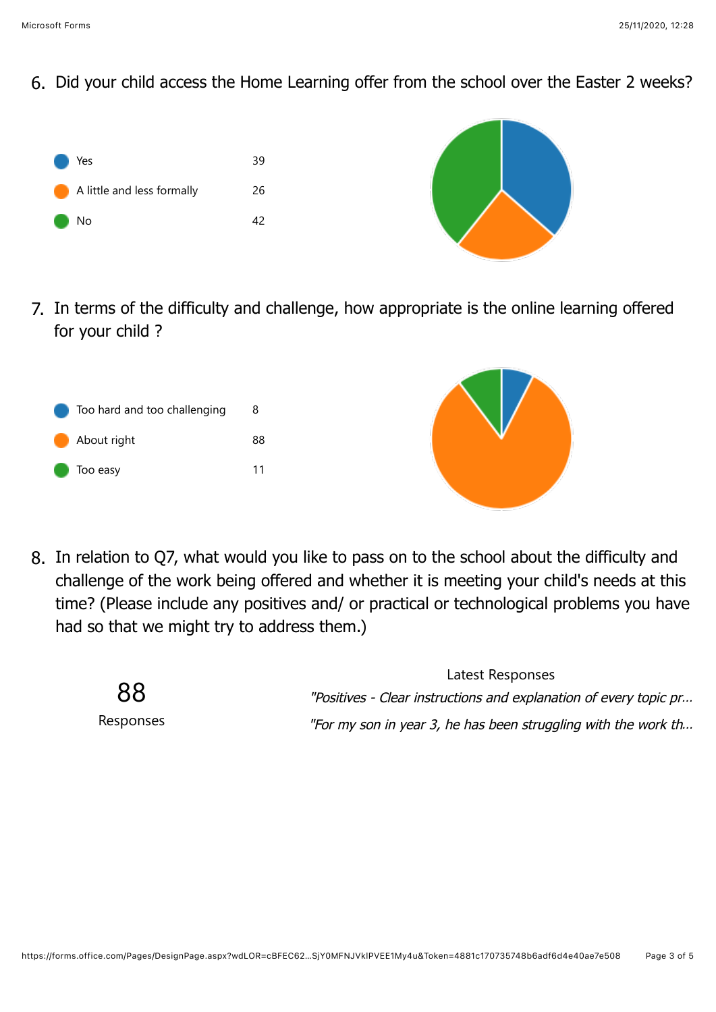6. Did your child access the Home Learning offer from the school over the Easter 2 weeks?



7. In terms of the difficulty and challenge, how appropriate is the online learning offered for your child ?





8. In relation to Q7, what would you like to pass on to the school about the difficulty and challenge of the work being offered and whether it is meeting your child's needs at this time? (Please include any positives and/ or practical or technological problems you have had so that we might try to address them.)



Latest Responses "Positives - Clear instructions and explanation of every topic pr… "For my son in year 3, he has been struggling with the work th…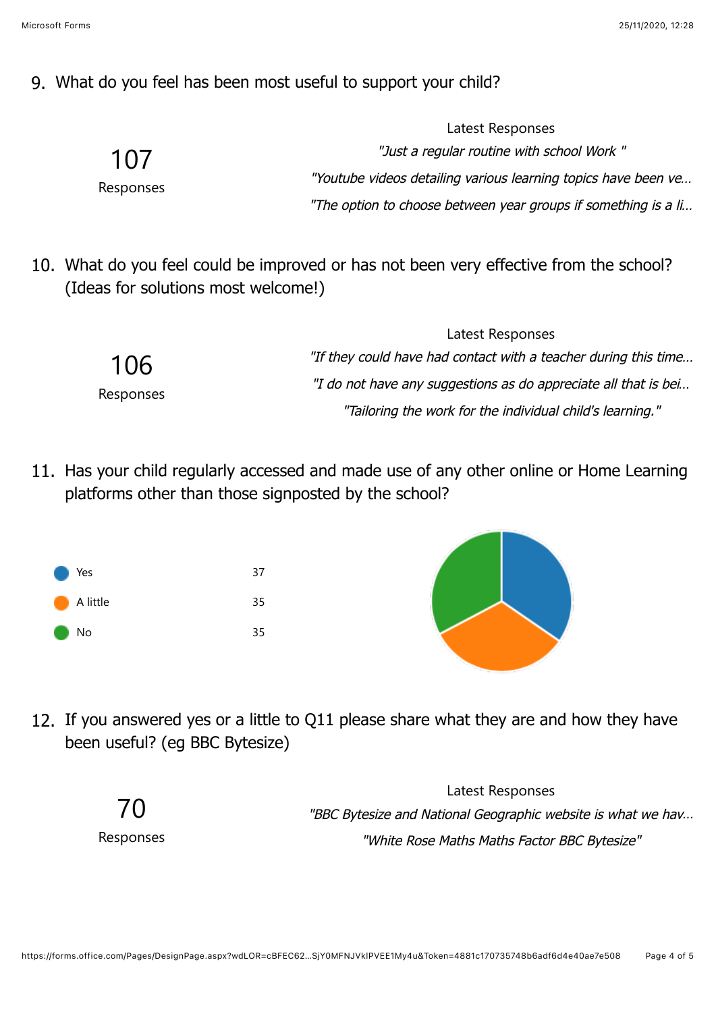## 9. What do you feel has been most useful to support your child?

| 107<br>Responses | "Just a regular routine with school Work"                      |
|------------------|----------------------------------------------------------------|
|                  | "Youtube videos detailing various learning topics have been ve |
|                  | "The option to choose between year groups if something is a li |

10. What do you feel could be improved or has not been very effective from the school? (Ideas for solutions most welcome!)

|           | Latest Responses                                                |
|-----------|-----------------------------------------------------------------|
| 106       | "If they could have had contact with a teacher during this time |
| Responses | "I do not have any suggestions as do appreciate all that is bei |
|           | "Tailoring the work for the individual child's learning."       |

11. Has your child regularly accessed and made use of any other online or Home Learning platforms other than those signposted by the school?





Latest Responses

12. If you answered yes or a little to Q11 please share what they are and how they have been useful? (eg BBC Bytesize)